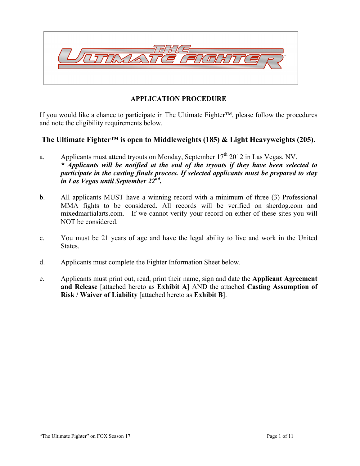

# **APPLICATION PROCEDURE**

If you would like a chance to participate in The Ultimate Fighter™, please follow the procedures and note the eligibility requirements below.

# **The Ultimate Fighter™ is open to Middleweights (185) & Light Heavyweights (205).**

- a. Applicants must attend tryouts on Monday, September  $17<sup>th</sup>$  2012 in Las Vegas, NV. *\* Applicants will be notified at the end of the tryouts if they have been selected to participate in the casting finals process. If selected applicants must be prepared to stay in Las Vegas until September 22nd.*
- b. All applicants MUST have a winning record with a minimum of three (3) Professional MMA fights to be considered. All records will be verified on sherdog.com and mixedmartialarts.com. If we cannot verify your record on either of these sites you will NOT be considered.
- c. You must be 21 years of age and have the legal ability to live and work in the United States.
- d. Applicants must complete the Fighter Information Sheet below.
- e. Applicants must print out, read, print their name, sign and date the **Applicant Agreement and Release** [attached hereto as **Exhibit A**] AND the attached **Casting Assumption of Risk / Waiver of Liability** [attached hereto as **Exhibit B**].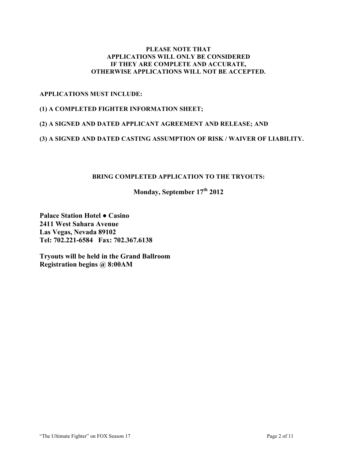### **PLEASE NOTE THAT APPLICATIONS WILL ONLY BE CONSIDERED IF THEY ARE COMPLETE AND ACCURATE, OTHERWISE APPLICATIONS WILL NOT BE ACCEPTED.**

## **APPLICATIONS MUST INCLUDE:**

#### **(1) A COMPLETED FIGHTER INFORMATION SHEET;**

## **(2) A SIGNED AND DATED APPLICANT AGREEMENT AND RELEASE; AND**

### **(3) A SIGNED AND DATED CASTING ASSUMPTION OF RISK / WAIVER OF LIABILITY.**

# **BRING COMPLETED APPLICATION TO THE TRYOUTS:**

# **Monday, September 17th 2012**

**Palace Station Hotel ● Casino 2411 West Sahara Avenue Las Vegas, Nevada 89102 Tel: 702.221-6584 Fax: 702.367.6138**

**Tryouts will be held in the Grand Ballroom Registration begins @ 8:00AM**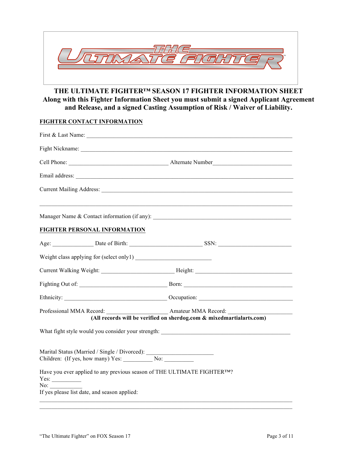

# **THE ULTIMATE FIGHTER™ SEASON 17 FIGHTER INFORMATION SHEET Along with this Fighter Information Sheet you must submit a signed Applicant Agreement and Release, and a signed Casting Assumption of Risk / Waiver of Liability.**

### **FIGHTER CONTACT INFORMATION**

| First & Last Name:                                                      |                                                                      |
|-------------------------------------------------------------------------|----------------------------------------------------------------------|
|                                                                         |                                                                      |
|                                                                         |                                                                      |
|                                                                         |                                                                      |
|                                                                         |                                                                      |
| FIGHTER PERSONAL INFORMATION                                            |                                                                      |
| Age: <u>Date of Birth: SSN: SSN:</u>                                    |                                                                      |
|                                                                         |                                                                      |
|                                                                         |                                                                      |
|                                                                         |                                                                      |
|                                                                         |                                                                      |
|                                                                         | (All records will be verified on sherdog.com & mixedmartialarts.com) |
|                                                                         |                                                                      |
|                                                                         |                                                                      |
| Have you ever applied to any previous season of THE ULTIMATE FIGHTERTM? |                                                                      |
| If yes please list date, and season applied:                            |                                                                      |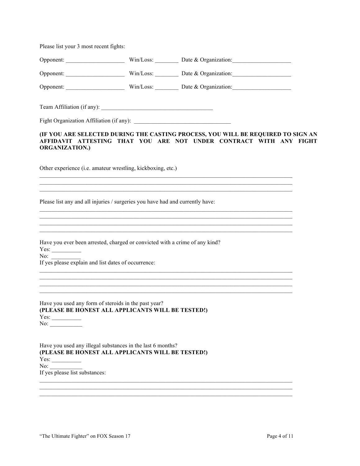Please list your 3 most recent fights:

|                                                                                                                                                                          | Opponent: Win/Loss: Date & Organization:                                                                                                                                                                                                                                                                                                      |
|--------------------------------------------------------------------------------------------------------------------------------------------------------------------------|-----------------------------------------------------------------------------------------------------------------------------------------------------------------------------------------------------------------------------------------------------------------------------------------------------------------------------------------------|
|                                                                                                                                                                          |                                                                                                                                                                                                                                                                                                                                               |
|                                                                                                                                                                          |                                                                                                                                                                                                                                                                                                                                               |
|                                                                                                                                                                          |                                                                                                                                                                                                                                                                                                                                               |
|                                                                                                                                                                          |                                                                                                                                                                                                                                                                                                                                               |
| <b>ORGANIZATION.)</b>                                                                                                                                                    | (IF YOU ARE SELECTED DURING THE CASTING PROCESS, YOU WILL BE REQUIRED TO SIGN AN<br>AFFIDAVIT ATTESTING THAT YOU ARE NOT UNDER CONTRACT WITH ANY FIGHT                                                                                                                                                                                        |
| Other experience (i.e. amateur wrestling, kickboxing, etc.)                                                                                                              | <u> 1989 - Johann Stoff, amerikansk politiker (d. 1989)</u><br>,我们也不能在这里的时候,我们也不能在这里的时候,我们也不能会在这里的时候,我们也不能会在这里的时候,我们也不能会在这里的时候,我们也不能会在这里的时候,我们也不                                                                                                                                                                                              |
| Please list any and all injuries / surgeries you have had and currently have:                                                                                            | ,我们也不能在这里的时候,我们也不能在这里的时候,我们也不能会在这里,我们也不能会在这里的时候,我们也不能会在这里的时候,我们也不能会在这里的时候,我们也不能会<br>,我们也不会有什么。""我们的人,我们也不会有什么?""我们的人,我们也不会有什么?""我们的人,我们的人,我们也不会有什么?""我们的人,我们的人,我们的人,我<br>,我们也不能会在这里的时候,我们也不能会在这里,我们也不能会在这里,我们也不能会在这里,我们也不能会在这里的时候,我们也不能会在这里,我们也不能会不能会不能会。<br>第2012章 我们的时候,我们的时候,我们的时候,我们的时候,我们的时候,我们的时候,我们的时候,我们的时候,我们的时候,我们的时候,我们的时候,我们的时候,我 |
| Have you ever been arrested, charged or convicted with a crime of any kind?<br>No: $\qquad \qquad$<br>If yes please explain and list dates of occurrence:                | <u> 1989 - Johann Harry Harry Harry Harry Harry Harry Harry Harry Harry Harry Harry Harry Harry Harry Harry Harry</u>                                                                                                                                                                                                                         |
| Have you used any form of steroids in the past year?<br>(PLEASE BE HONEST ALL APPLICANTS WILL BE TESTED!)<br>No:                                                         | <u> 1989 - Johann Harry Harry Harry Harry Harry Harry Harry Harry Harry Harry Harry Harry Harry Harry Harry Harry</u>                                                                                                                                                                                                                         |
| Have you used any illegal substances in the last 6 months?<br>(PLEASE BE HONEST ALL APPLICANTS WILL BE TESTED!)<br>No: $\qquad \qquad$<br>If yes please list substances: |                                                                                                                                                                                                                                                                                                                                               |

 $\_$  , and the state of the state of the state of the state of the state of the state of the state of the state of the state of the state of the state of the state of the state of the state of the state of the state of the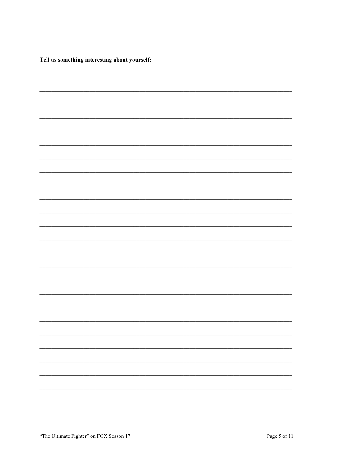Tell us something interesting about yourself:

| $\overline{\phantom{0}}$ |
|--------------------------|
|                          |
|                          |
|                          |
|                          |
|                          |
|                          |
|                          |
|                          |
|                          |
|                          |
|                          |
|                          |
|                          |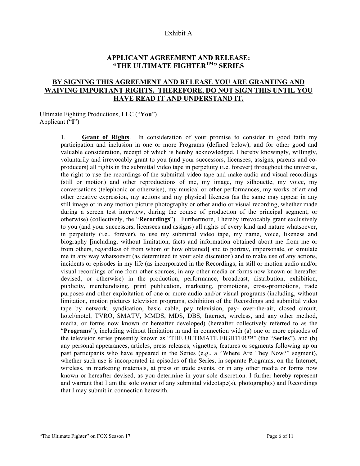#### Exhibit A

# **APPLICANT AGREEMENT AND RELEASE: "THE ULTIMATE FIGHTERTM" SERIES**

# **BY SIGNING THIS AGREEMENT AND RELEASE YOU ARE GRANTING AND WAIVING IMPORTANT RIGHTS. THEREFORE, DO NOT SIGN THIS UNTIL YOU HAVE READ IT AND UNDERSTAND IT.**

Ultimate Fighting Productions, LLC ("**You**") Applicant ("**I**")

> 1. **Grant of Rights**. In consideration of your promise to consider in good faith my participation and inclusion in one or more Programs (defined below), and for other good and valuable consideration, receipt of which is hereby acknowledged, I hereby knowingly, willingly, voluntarily and irrevocably grant to you (and your successors, licensees, assigns, parents and coproducers) all rights in the submittal video tape in perpetuity (i.e. forever) throughout the universe, the right to use the recordings of the submittal video tape and make audio and visual recordings (still or motion) and other reproductions of me, my image, my silhouette, my voice, my conversations (telephonic or otherwise), my musical or other performances, my works of art and other creative expression, my actions and my physical likeness (as the same may appear in any still image or in any motion picture photography or other audio or visual recording, whether made during a screen test interview, during the course of production of the principal segment, or otherwise) (collectively, the "**Recordings**"). Furthermore, I hereby irrevocably grant exclusively to you (and your successors, licensees and assigns) all rights of every kind and nature whatsoever, in perpetuity (i.e., forever), to use my submittal video tape, my name, voice, likeness and biography [including, without limitation, facts and information obtained about me from me or from others, regardless of from whom or how obtained] and to portray, impersonate, or simulate me in any way whatsoever (as determined in your sole discretion) and to make use of any actions, incidents or episodes in my life (as incorporated in the Recordings, in still or motion audio and/or visual recordings of me from other sources, in any other media or forms now known or hereafter devised, or otherwise) in the production, performance, broadcast, distribution, exhibition, publicity, merchandising, print publication, marketing, promotions, cross-promotions, trade purposes and other exploitation of one or more audio and/or visual programs (including, without limitation, motion pictures television programs, exhibition of the Recordings and submittal video tape by network, syndication, basic cable, pay television, pay- over-the-air, closed circuit, hotel/motel, TVRO, SMATV, MMDS, MDS, DBS, Internet, wireless, and any other method, media, or forms now known or hereafter developed) (hereafter collectively referred to as the "**Programs**"), including without limitation in and in connection with (a) one or more episodes of the television series presently known as "THE ULTIMATE FIGHTER™" (the "**Series**"), and (b) any personal appearances, articles, press releases, vignettes, features or segments following up on past participants who have appeared in the Series (e.g., a "Where Are They Now?" segment), whether such use is incorporated in episodes of the Series, in separate Programs, on the Internet, wireless, in marketing materials, at press or trade events, or in any other media or forms now known or hereafter devised, as you determine in your sole discretion. I further hereby represent and warrant that I am the sole owner of any submittal videotape(s), photograph(s) and Recordings that I may submit in connection herewith.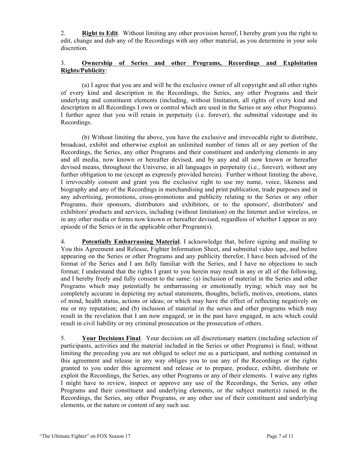2. **Right to Edit**. Without limiting any other provision hereof, I hereby grant you the right to edit, change and dub any of the Recordings with any other material, as you determine in your sole discretion.

## 3. **Ownership of Series and other Programs, Recordings and Exploitation Rights/Publicity**:

(a) I agree that you are and will be the exclusive owner of all copyright and all other rights of every kind and description in the Recordings, the Series, any other Programs and their underlying and constituent elements (including, without limitation, all rights of every kind and description in all Recordings I own or control which are used in the Series or any other Programs). I further agree that you will retain in perpetuity (i.e. forever), the submittal videotape and its Recordings.

(b) Without limiting the above, you have the exclusive and irrevocable right to distribute, broadcast, exhibit and otherwise exploit an unlimited number of times all or any portion of the Recordings, the Series, any other Programs and their constituent and underlying elements in any and all media, now known or hereafter devised, and by any and all now known or hereafter devised means, throughout the Universe, in all languages in perpetuity (i.e., forever), without any further obligation to me (except as expressly provided herein). Further without limiting the above, I irrevocably consent and grant you the exclusive right to use my name, voice, likeness and biography and any of the Recordings in merchandising and print publication, trade purposes and in any advertising, promotions, cross-promotions and publicity relating to the Series or any other Programs, their sponsors, distributors and exhibitors, or to the sponsors', distributors' and exhibitors' products and services, including (without limitation) on the Internet and/or wireless, or in any other media or forms now known or hereafter devised, regardless of whether I appear in any episode of the Series or in the applicable other Program(s).

4. **Potentially Embarrassing Material**. I acknowledge that, before signing and mailing to You this Agreement and Release, Fighter Information Sheet, and submittal video tape, and before appearing on the Series or other Programs and any publicity therefor, I have been advised of the format of the Series and I am fully familiar with the Series, and I have no objections to such format; I understand that the rights I grant to you herein may result in any or all of the following, and I hereby freely and fully consent to the same: (a) inclusion of material in the Series and other Programs which may potentially be embarrassing or emotionally trying; which may not be completely accurate in depicting my actual statements, thoughts, beliefs, motives, emotions, states of mind, health status, actions or ideas; or which may have the effect of reflecting negatively on me or my reputation; and (b) inclusion of material in the series and other programs which may result in the revelation that I am now engaged, or in the past have engaged, in acts which could result in civil liability or my criminal prosecution or the prosecution of others.

5. **Your Decisions Final**. Your decision on all discretionary matters (including selection of participants, activities and the material included in the Series or other Programs) is final; without limiting the preceding you are not obliged to select me as a participant, and nothing contained in this agreement and release in any way obliges you to use any of the Recordings or the rights granted to you under this agreement and release or to prepare, produce, exhibit, distribute or exploit the Recordings, the Series, any other Programs or any of their elements. I waive any rights I might have to review, inspect or approve any use of the Recordings, the Series, any other Programs and their constituent and underlying elements, or the subject matter(s) raised in the Recordings, the Series, any other Programs, or any other use of their constituent and underlying elements, or the nature or content of any such use.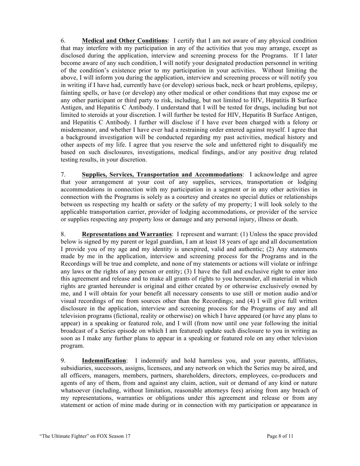6. **Medical and Other Conditions**: I certify that I am not aware of any physical condition that may interfere with my participation in any of the activities that you may arrange, except as disclosed during the application, interview and screening process for the Programs. If I later become aware of any such condition, I will notify your designated production personnel in writing of the condition's existence prior to my participation in your activities. Without limiting the above, I will inform you during the application, interview and screening process or will notify you in writing if I have had, currently have (or develop) serious back, neck or heart problems, epilepsy, fainting spells, or have (or develop) any other medical or other conditions that may expose me or any other participant or third party to risk, including, but not limited to HIV, Hepatitis B Surface Antigen, and Hepatitis C Antibody. I understand that I will be tested for drugs, including but not limited to steroids at your discretion. I will further be tested for HIV, Hepatitis B Surface Antigen, and Hepatitis C Antibody. I further will disclose if I have ever been charged with a felony or misdemeanor, and whether I have ever had a restraining order entered against myself. I agree that a background investigation will be conducted regarding my past activities, medical history and other aspects of my life. I agree that you reserve the sole and unfettered right to disqualify me based on such disclosures, investigations, medical findings, and/or any positive drug related testing results, in your discretion.

7. **Supplies, Services, Transportation and Accommodations**: I acknowledge and agree that your arrangement at your cost of any supplies, services, transportation or lodging accommodations in connection with my participation in a segment or in any other activities in connection with the Programs is solely as a courtesy and creates no special duties or relationships between us respecting my health or safety or the safety of my property; I will look solely to the applicable transportation carrier, provider of lodging accommodations, or provider of the service or supplies respecting any property loss or damage and any personal injury, illness or death.

8. **Representations and Warranties**: I represent and warrant: (1) Unless the space provided below is signed by my parent or legal guardian, I am at least 18 years of age and all documentation I provide you of my age and my identity is unexpired, valid and authentic; (2) Any statements made by me in the application, interview and screening process for the Programs and in the Recordings will be true and complete, and none of my statements or actions will violate or infringe any laws or the rights of any person or entity; (3) I have the full and exclusive right to enter into this agreement and release and to make all grants of rights to you hereunder, all material in which rights are granted hereunder is original and either created by or otherwise exclusively owned by me, and I will obtain for your benefit all necessary consents to use still or motion audio and/or visual recordings of me from sources other than the Recordings; and (4) I will give full written disclosure in the application, interview and screening process for the Programs of any and all television programs (fictional, reality or otherwise) on which I have appeared (or have any plans to appear) in a speaking or featured role, and I will (from now until one year following the initial broadcast of a Series episode on which I am featured) update such disclosure to you in writing as soon as I make any further plans to appear in a speaking or featured role on any other television program.

9. **Indemnification**: I indemnify and hold harmless you, and your parents, affiliates, subsidiaries, successors, assigns, licensees, and any network on which the Series may be aired, and all officers, managers, members, partners, shareholders, directors, employees, co-producers and agents of any of them, from and against any claim, action, suit or demand of any kind or nature whatsoever (including, without limitation, reasonable attorneys fees) arising from any breach of my representations, warranties or obligations under this agreement and release or from any statement or action of mine made during or in connection with my participation or appearance in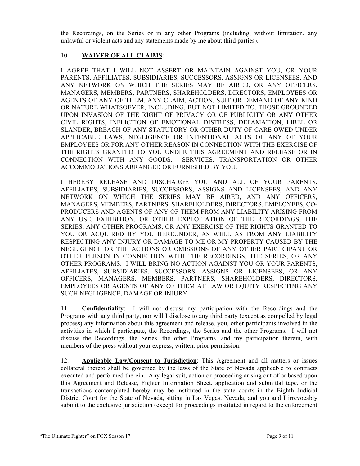the Recordings, on the Series or in any other Programs (including, without limitation, any unlawful or violent acts and any statements made by me about third parties).

## 10. **WAIVER OF ALL CLAIMS**:

I AGREE THAT I WILL NOT ASSERT OR MAINTAIN AGAINST YOU, OR YOUR PARENTS, AFFILIATES, SUBSIDIARIES, SUCCESSORS, ASSIGNS OR LICENSEES, AND ANY NETWORK ON WHICH THE SERIES MAY BE AIRED, OR ANY OFFICERS, MANAGERS, MEMBERS, PARTNERS, SHAREHOLDERS, DIRECTORS, EMPLOYEES OR AGENTS OF ANY OF THEM, ANY CLAIM, ACTION, SUIT OR DEMAND OF ANY KIND OR NATURE WHATSOEVER, INCLUDING, BUT NOT LIMITED TO, THOSE GROUNDED UPON INVASION OF THE RIGHT OF PRIVACY OR OF PUBLICITY OR ANY OTHER CIVIL RIGHTS, INFLICTION OF EMOTIONAL DISTRESS, DEFAMATION, LIBEL OR SLANDER, BREACH OF ANY STATUTORY OR OTHER DUTY OF CARE OWED UNDER APPLICABLE LAWS, NEGLIGENCE OR INTENTIONAL ACTS OF ANY OF YOUR EMPLOYEES OR FOR ANY OTHER REASON IN CONNECTION WITH THE EXERCISE OF THE RIGHTS GRANTED TO YOU UNDER THIS AGREEMENT AND RELEASE OR IN CONNECTION WITH ANY GOODS, SERVICES, TRANSPORTATION OR OTHER ACCOMMODATIONS ARRANGED OR FURNISHED BY YOU.

I HEREBY RELEASE AND DISCHARGE YOU AND ALL OF YOUR PARENTS, AFFILIATES, SUBSIDIARIES, SUCCESSORS, ASSIGNS AND LICENSEES, AND ANY NETWORK ON WHICH THE SERIES MAY BE AIRED, AND ANY OFFICERS, MANAGERS, MEMBERS, PARTNERS, SHAREHOLDERS, DIRECTORS, EMPLOYEES, CO-PRODUCERS AND AGENTS OF ANY OF THEM FROM ANY LIABILITY ARISING FROM ANY USE, EXHIBITION, OR OTHER EXPLOITATION OF THE RECORDINGS, THE SERIES, ANY OTHER PROGRAMS, OR ANY EXERCISE OF THE RIGHTS GRANTED TO YOU OR ACQUIRED BY YOU HEREUNDER, AS WELL AS FROM ANY LIABILITY RESPECTING ANY INJURY OR DAMAGE TO ME OR MY PROPERTY CAUSED BY THE NEGLIGENCE OR THE ACTIONS OR OMISSIONS OF ANY OTHER PARTICIPANT OR OTHER PERSON IN CONNECTION WITH THE RECORDINGS, THE SERIES, OR ANY OTHER PROGRAMS. I WILL BRING NO ACTION AGAINST YOU OR YOUR PARENTS, AFFILIATES, SUBSIDIARIES, SUCCESSORS, ASSIGNS OR LICENSEES, OR ANY OFFICERS, MANAGERS, MEMBERS, PARTNERS, SHAREHOLDERS, DIRECTORS, EMPLOYEES OR AGENTS OF ANY OF THEM AT LAW OR EQUITY RESPECTING ANY SUCH NEGLIGENCE, DAMAGE OR INJURY.

11. **Confidentiality**: I will not discuss my participation with the Recordings and the Programs with any third party, nor will I disclose to any third party (except as compelled by legal process) any information about this agreement and release, you, other participants involved in the activities in which I participate, the Recordings, the Series and the other Programs. I will not discuss the Recordings, the Series, the other Programs, and my participation therein, with members of the press without your express, written, prior permission.

12. **Applicable Law/Consent to Jurisdiction**: This Agreement and all matters or issues collateral thereto shall be governed by the laws of the State of Nevada applicable to contracts executed and performed therein. Any legal suit, action or proceeding arising out of or based upon this Agreement and Release, Fighter Information Sheet, application and submittal tape, or the transactions contemplated hereby may be instituted in the state courts in the Eighth Judicial District Court for the State of Nevada, sitting in Las Vegas, Nevada, and you and I irrevocably submit to the exclusive jurisdiction (except for proceedings instituted in regard to the enforcement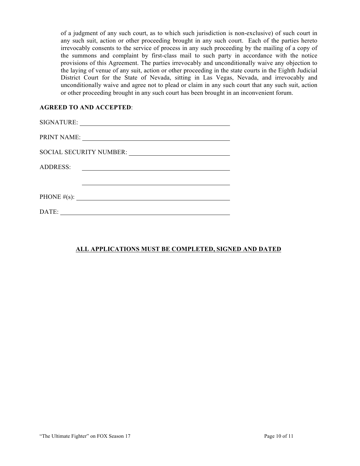of a judgment of any such court, as to which such jurisdiction is non-exclusive) of such court in any such suit, action or other proceeding brought in any such court. Each of the parties hereto irrevocably consents to the service of process in any such proceeding by the mailing of a copy of the summons and complaint by first-class mail to such party in accordance with the notice provisions of this Agreement. The parties irrevocably and unconditionally waive any objection to the laying of venue of any suit, action or other proceeding in the state courts in the Eighth Judicial District Court for the State of Nevada, sitting in Las Vegas, Nevada, and irrevocably and unconditionally waive and agree not to plead or claim in any such court that any such suit, action or other proceeding brought in any such court has been brought in an inconvenient forum.

### **AGREED TO AND ACCEPTED**:

| <b>ADDRESS:</b><br><u> 1980 - Andrea State Barbara, amerikan personal (h. 1980).</u> |
|--------------------------------------------------------------------------------------|
|                                                                                      |
| PHONE $\#(s)$ :                                                                      |
| DATE:                                                                                |

# **ALL APPLICATIONS MUST BE COMPLETED, SIGNED AND DATED**